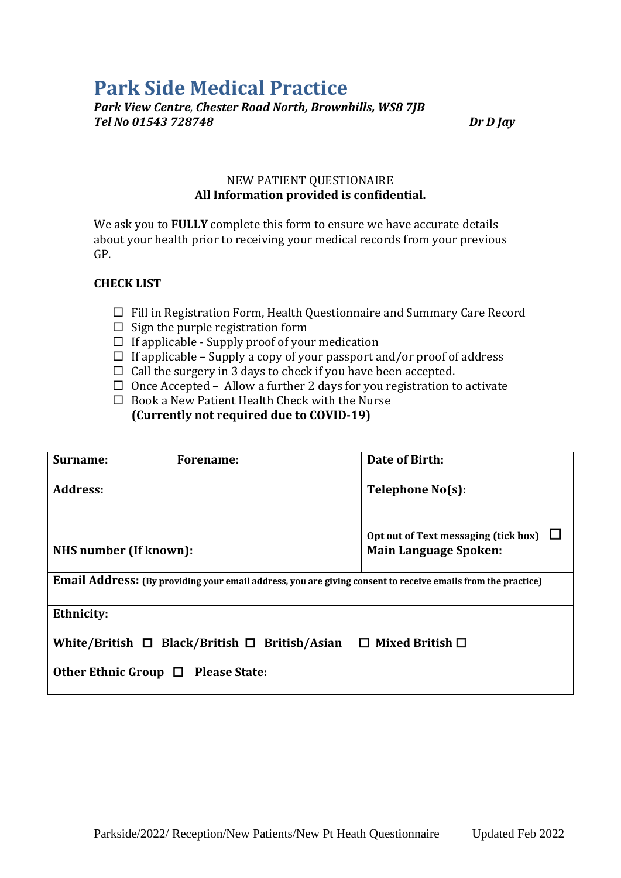# **Park Side Medical Practice**

*Park View Centre, Chester Road North, Brownhills, WS8 7JB Tel No 01543 728748 Dr D Jay*

#### NEW PATIENT QUESTIONAIRE **All Information provided is confidential.**

We ask you to **FULLY** complete this form to ensure we have accurate details about your health prior to receiving your medical records from your previous GP.

## **CHECK LIST**

- $\Box$  Fill in Registration Form, Health Questionnaire and Summary Care Record
- $\Box$  Sign the purple registration form
- $\Box$  If applicable Supply proof of your medication
- $\Box$  If applicable Supply a copy of your passport and/or proof of address
- $\Box$  Call the surgery in 3 days to check if you have been accepted.
- $\Box$  Once Accepted Allow a further 2 days for you registration to activate
- $\Box$  Book a New Patient Health Check with the Nurse **(Currently not required due to COVID-19)**

| Surname:<br>Forename:                                                                                               | Date of Birth:                       |  |  |  |
|---------------------------------------------------------------------------------------------------------------------|--------------------------------------|--|--|--|
| <b>Address:</b>                                                                                                     | Telephone No(s):                     |  |  |  |
|                                                                                                                     | Opt out of Text messaging (tick box) |  |  |  |
| NHS number (If known):                                                                                              | <b>Main Language Spoken:</b>         |  |  |  |
| <b>Email Address:</b> (By providing your email address, you are giving consent to receive emails from the practice) |                                      |  |  |  |
| <b>Ethnicity:</b>                                                                                                   |                                      |  |  |  |
| White/British $\Box$ Black/British $\Box$ British/Asian                                                             | $\Box$ Mixed British $\Box$          |  |  |  |
| Other Ethnic Group $\Box$ Please State:                                                                             |                                      |  |  |  |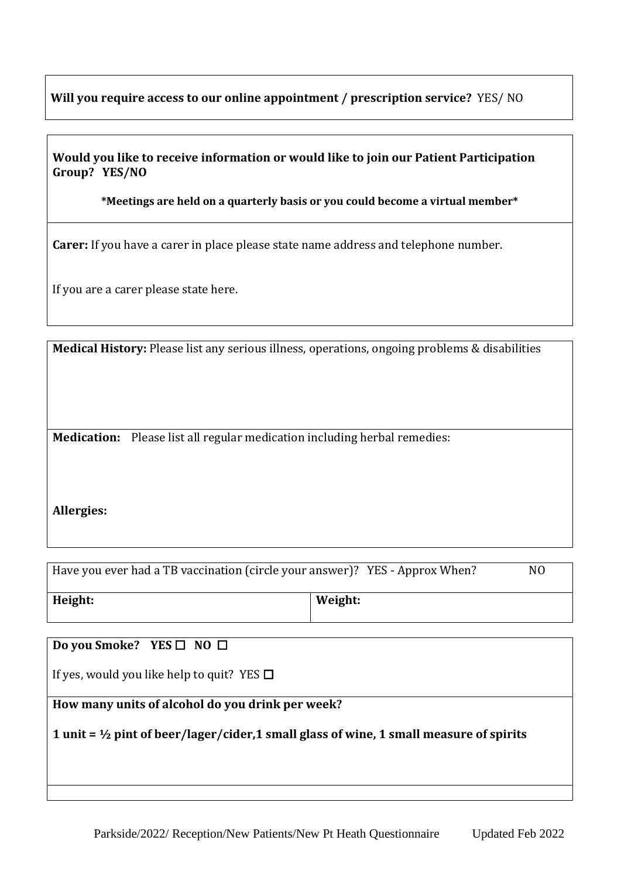## **Will you require access to our online appointment / prescription service?** YES/ NO

## **Would you like to receive information or would like to join our Patient Participation Group? YES/NO**

**\*Meetings are held on a quarterly basis or you could become a virtual member\***

**Carer:** If you have a carer in place please state name address and telephone number.

If you are a carer please state here.

**Medical History:** Please list any serious illness, operations, ongoing problems & disabilities

**Medication:** Please list all regular medication including herbal remedies:

## **Allergies:**

| Have you ever had a TB vaccination (circle your answer)? YES - Approx When? |         | N0 |
|-----------------------------------------------------------------------------|---------|----|
| Height:                                                                     | Weight: |    |

**Do you Smoke?** YES □ NO □

If yes, would you like help to quit? YES  $\Box$ 

**How many units of alcohol do you drink per week?**

**1 unit = ½ pint of beer/lager/cider,1 small glass of wine, 1 small measure of spirits**